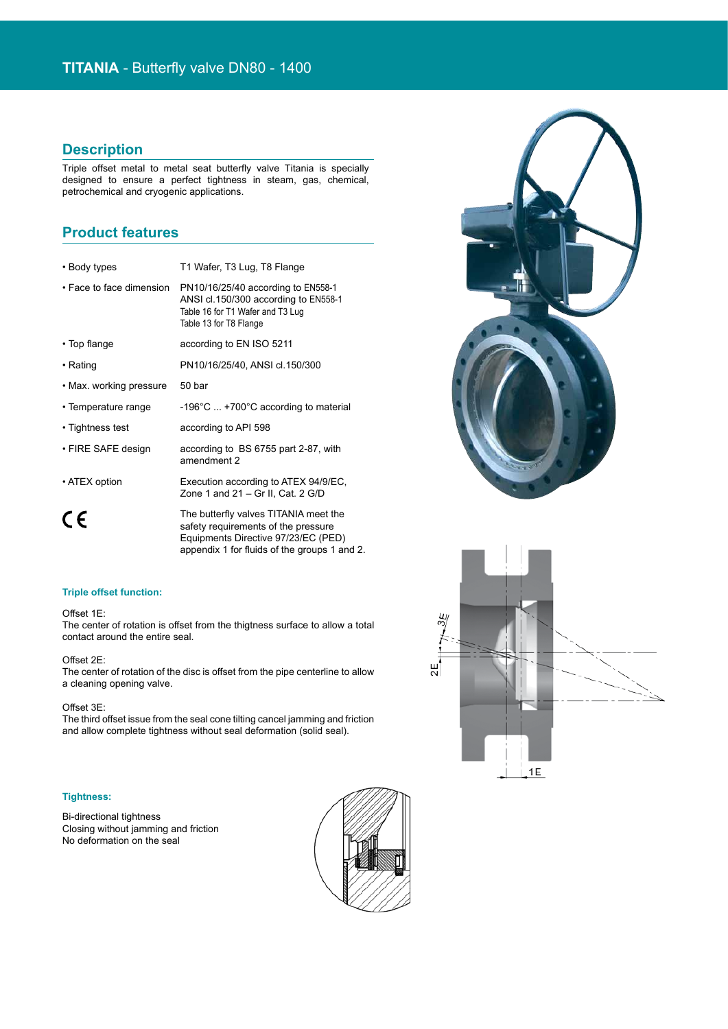## **Description**

Triple offset metal to metal seat butterfly valve Titania is specially designed to ensure a perfect tightness in steam, gas, chemical, petrochemical and cryogenic applications.

## **Product features**

| • Body types             | T1 Wafer, T3 Lug, T8 Flange                                                                                                              |
|--------------------------|------------------------------------------------------------------------------------------------------------------------------------------|
| • Face to face dimension | PN10/16/25/40 according to EN558-1<br>ANSI cl.150/300 according to EN558-1<br>Table 16 for T1 Wafer and T3 Lug<br>Table 13 for T8 Flange |
| • Top flange             | according to EN ISO 5211                                                                                                                 |
| • Rating                 | PN10/16/25/40, ANSI cl.150/300                                                                                                           |
| • Max. working pressure  | 50 bar                                                                                                                                   |
| • Temperature range      | $-196^{\circ}$ C  +700 $^{\circ}$ C according to material                                                                                |
| • Tightness test         | according to API 598                                                                                                                     |
| • FIRE SAFE design       | according to BS 6755 part 2-87, with<br>amendment 2                                                                                      |
| • ATEX option            | Execution according to ATEX 94/9/EC,<br>Zone 1 and $21 - Gr II$ , Cat. 2 G/D                                                             |
|                          | The butterfly valves TITANIA meet the                                                                                                    |

safety requirements of the pressure Equipments Directive 97/23/EC (PED) appendix 1 for fluids of the groups 1 and 2.

#### **Triple offset function:**

### Offset 1E:

The center of rotation is offset from the thigtness surface to allow a total contact around the entire seal.

### Offset 2E:

The center of rotation of the disc is offset from the pipe centerline to allow a cleaning opening valve.

### Offset 3E:

The third offset issue from the seal cone tilting cancel jamming and friction and allow complete tightness without seal deformation (solid seal).

### **Tightness:**

Bi-directional tightness Closing without jamming and friction No deformation on the seal





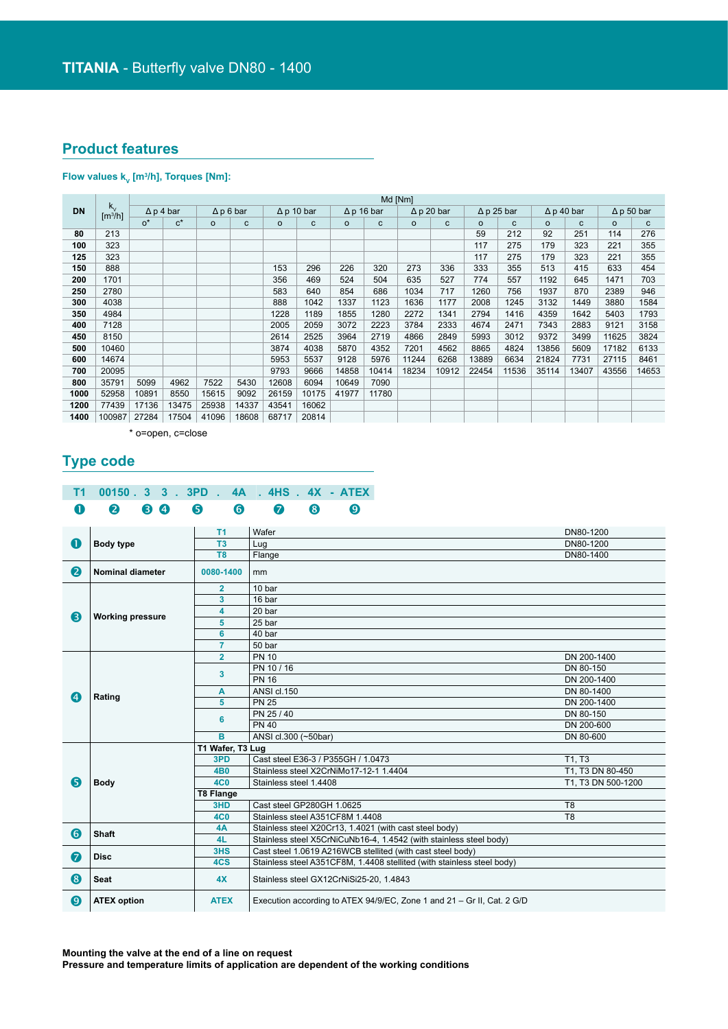## **Product features**

### **Flow values kV [m3 /h], Torques [Nm]:**

|           |                                             |                  | Md [Nm] |                  |       |                   |       |                   |       |                   |       |                   |       |                   |       |                   |              |
|-----------|---------------------------------------------|------------------|---------|------------------|-------|-------------------|-------|-------------------|-------|-------------------|-------|-------------------|-------|-------------------|-------|-------------------|--------------|
| <b>DN</b> | $k_{\rm v}$<br>$\left[\frac{m^3}{h}\right]$ | $\Delta p 4$ bar |         | $\Delta p 6$ bar |       | $\Delta p$ 10 bar |       | $\Delta p$ 16 bar |       | $\Delta p 20$ bar |       | $\Delta p$ 25 bar |       | $\Delta p$ 40 bar |       | $\Delta p$ 50 bar |              |
|           |                                             | $O^*$            | $c^*$   | $\circ$          | C     | $\circ$           | C     | $\circ$           | C     | $\circ$           | C     | $\circ$           | c     | $\circ$           | C     | $\circ$           | $\mathbf{C}$ |
| 80        | 213                                         |                  |         |                  |       |                   |       |                   |       |                   |       | 59                | 212   | 92                | 251   | 114               | 276          |
| 100       | 323                                         |                  |         |                  |       |                   |       |                   |       |                   |       | 117               | 275   | 179               | 323   | 221               | 355          |
| 125       | 323                                         |                  |         |                  |       |                   |       |                   |       |                   |       | 117               | 275   | 179               | 323   | 221               | 355          |
| 150       | 888                                         |                  |         |                  |       | 153               | 296   | 226               | 320   | 273               | 336   | 333               | 355   | 513               | 415   | 633               | 454          |
| 200       | 1701                                        |                  |         |                  |       | 356               | 469   | 524               | 504   | 635               | 527   | 774               | 557   | 1192              | 645   | 1471              | 703          |
| 250       | 2780                                        |                  |         |                  |       | 583               | 640   | 854               | 686   | 1034              | 717   | 1260              | 756   | 1937              | 870   | 2389              | 946          |
| 300       | 4038                                        |                  |         |                  |       | 888               | 1042  | 1337              | 1123  | 1636              | 1177  | 2008              | 1245  | 3132              | 1449  | 3880              | 1584         |
| 350       | 4984                                        |                  |         |                  |       | 1228              | 1189  | 1855              | 1280  | 2272              | 1341  | 2794              | 1416  | 4359              | 1642  | 5403              | 1793         |
| 400       | 7128                                        |                  |         |                  |       | 2005              | 2059  | 3072              | 2223  | 3784              | 2333  | 4674              | 2471  | 7343              | 2883  | 9121              | 3158         |
| 450       | 8150                                        |                  |         |                  |       | 2614              | 2525  | 3964              | 2719  | 4866              | 2849  | 5993              | 3012  | 9372              | 3499  | 11625             | 3824         |
| 500       | 10460                                       |                  |         |                  |       | 3874              | 4038  | 5870              | 4352  | 7201              | 4562  | 8865              | 4824  | 13856             | 5609  | 17182             | 6133         |
| 600       | 14674                                       |                  |         |                  |       | 5953              | 5537  | 9128              | 5976  | 11244             | 6268  | 13889             | 6634  | 21824             | 7731  | 27115             | 8461         |
| 700       | 20095                                       |                  |         |                  |       | 9793              | 9666  | 14858             | 10414 | 18234             | 10912 | 22454             | 11536 | 35114             | 13407 | 43556             | 14653        |
| 800       | 35791                                       | 5099             | 4962    | 7522             | 5430  | 12608             | 6094  | 10649             | 7090  |                   |       |                   |       |                   |       |                   |              |
| 1000      | 52958                                       | 10891            | 8550    | 15615            | 9092  | 26159             | 10175 | 41977             | 11780 |                   |       |                   |       |                   |       |                   |              |
| 1200      | 77439                                       | 17136            | 13475   | 25938            | 14337 | 43541             | 16062 |                   |       |                   |       |                   |       |                   |       |                   |              |
| 1400      | 100987                                      | 27284            | 17504   | 41096            | 18608 | 68717             | 20814 |                   |       |                   |       |                   |       |                   |       |                   |              |

\* o=open, c=close

# **Type code**

## **T1 00150 . 3 3 . 3PD . 4A . 4HS . 4X - ATEX** 0 0 0 0 0 0 0 0 0 0

|                  |                         | T <sub>1</sub>   | Wafer                                                                  | DN80-1200          |
|------------------|-------------------------|------------------|------------------------------------------------------------------------|--------------------|
| O                | Body type               | T <sub>3</sub>   | Lug                                                                    | DN80-1200          |
|                  |                         | T <sub>8</sub>   | Flange                                                                 | DN80-1400          |
| $\boldsymbol{Q}$ | Nominal diameter        | 0080-1400        | mm                                                                     |                    |
|                  |                         | $\overline{2}$   | 10 bar                                                                 |                    |
|                  |                         | 3                | 16 bar                                                                 |                    |
| 6                | <b>Working pressure</b> | 4                | 20 bar                                                                 |                    |
|                  |                         | 5                | 25 bar                                                                 |                    |
|                  |                         | 6                | 40 bar                                                                 |                    |
|                  |                         | $\overline{7}$   | 50 bar                                                                 |                    |
|                  |                         | $\overline{2}$   | <b>PN 10</b>                                                           | DN 200-1400        |
|                  |                         | 3                | PN 10 / 16                                                             | DN 80-150          |
|                  |                         |                  | <b>PN 16</b>                                                           | DN 200-1400        |
| $\boldsymbol{A}$ |                         | A                | ANSI cl.150                                                            | DN 80-1400         |
|                  | Rating                  | 5                | <b>PN 25</b>                                                           | DN 200-1400        |
|                  |                         | 6                | PN 25 / 40                                                             | DN 80-150          |
|                  |                         |                  | <b>PN 40</b>                                                           | DN 200-600         |
|                  |                         | B                | ANSI cl.300 (~50bar)                                                   | DN 80-600          |
|                  |                         | T1 Wafer, T3 Lug |                                                                        |                    |
|                  |                         | 3PD              | Cast steel E36-3 / P355GH / 1.0473                                     | T1. T3             |
|                  |                         | <b>4B0</b>       | Stainless steel X2CrNiMo17-12-1 1.4404                                 | T1, T3 DN 80-450   |
| 6                | <b>Body</b>             | <b>4C0</b>       | Stainless steel 1.4408                                                 | T1, T3 DN 500-1200 |
|                  |                         | T8 Flange        |                                                                        |                    |
|                  |                         | 3HD              | Cast steel GP280GH 1.0625                                              | T <sub>8</sub>     |
|                  |                         | <b>4C0</b>       | Stainless steel A351CF8M 1.4408                                        | T <sub>8</sub>     |
| 6                | Shaft                   | 4A               | Stainless steel X20Cr13, 1.4021 (with cast steel body)                 |                    |
|                  |                         | 4L               | Stainless steel X5CrNiCuNb16-4, 1.4542 (with stainless steel body)     |                    |
| 0                | <b>Disc</b>             | 3HS              | Cast steel 1.0619 A216WCB stellited (with cast steel body)             |                    |
|                  |                         | 4CS              | Stainless steel A351CF8M, 1.4408 stellited (with stainless steel body) |                    |
| 8                | <b>Seat</b>             | 4X               | Stainless steel GX12CrNiSi25-20, 1.4843                                |                    |
| $\boldsymbol{0}$ | <b>ATEX option</b>      | <b>ATEX</b>      | Execution according to ATEX 94/9/EC, Zone 1 and 21 - Gr II, Cat. 2 G/D |                    |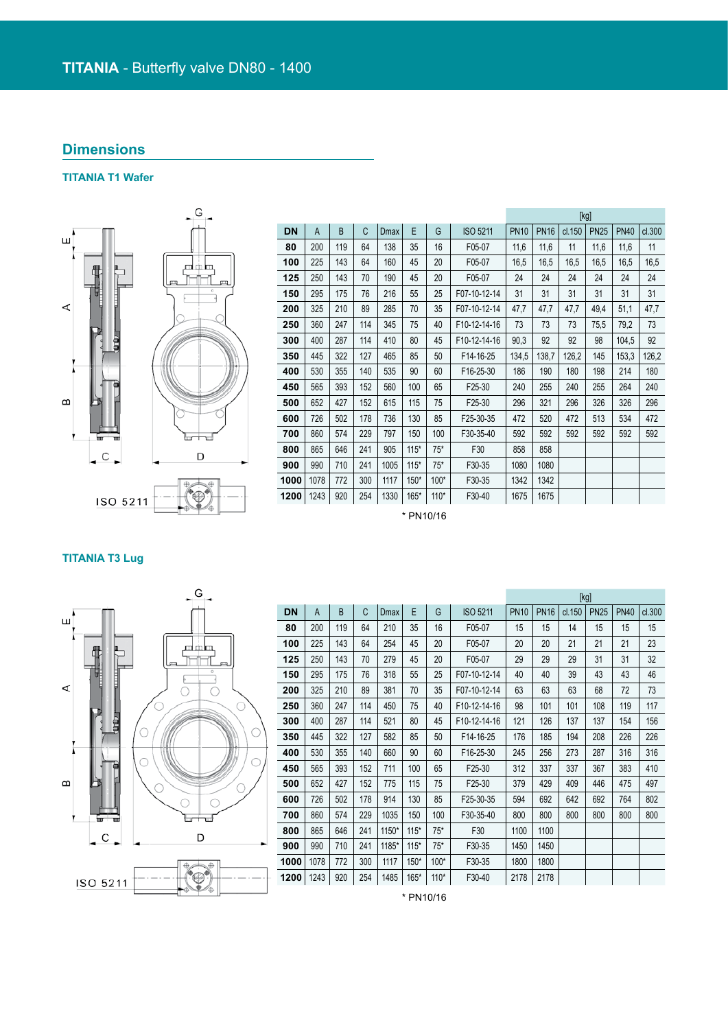## **Dimensions**

## **TITANIA T1 Wafer**



|           |      |     |     |      |        |        |                 |             |             |        | [kg]        |             |        |
|-----------|------|-----|-----|------|--------|--------|-----------------|-------------|-------------|--------|-------------|-------------|--------|
| <b>DN</b> | A    | B   | C   | Dmax | E      | G      | <b>ISO 5211</b> | <b>PN10</b> | <b>PN16</b> | cl.150 | <b>PN25</b> | <b>PN40</b> | cl.300 |
| 80        | 200  | 119 | 64  | 138  | 35     | 16     | F05-07          | 11,6        | 11,6        | 11     | 11,6        | 11,6        | 11     |
| 100       | 225  | 143 | 64  | 160  | 45     | 20     | F05-07          | 16,5        | 16,5        | 16,5   | 16,5        | 16,5        | 16,5   |
| 125       | 250  | 143 | 70  | 190  | 45     | 20     | F05-07          | 24          | 24          | 24     | 24          | 24          | 24     |
| 150       | 295  | 175 | 76  | 216  | 55     | 25     | F07-10-12-14    | 31          | 31          | 31     | 31          | 31          | 31     |
| 200       | 325  | 210 | 89  | 285  | 70     | 35     | F07-10-12-14    | 47,7        | 47,7        | 47,7   | 49,4        | 51,1        | 47,7   |
| 250       | 360  | 247 | 114 | 345  | 75     | 40     | F10-12-14-16    | 73          | 73          | 73     | 75,5        | 79,2        | 73     |
| 300       | 400  | 287 | 114 | 410  | 80     | 45     | F10-12-14-16    | 90,3        | 92          | 92     | 98          | 104,5       | 92     |
| 350       | 445  | 322 | 127 | 465  | 85     | 50     | F14-16-25       | 134,5       | 138,7       | 126,2  | 145         | 153,3       | 126,2  |
| 400       | 530  | 355 | 140 | 535  | 90     | 60     | F16-25-30       | 186         | 190         | 180    | 198         | 214         | 180    |
| 450       | 565  | 393 | 152 | 560  | 100    | 65     | F25-30          | 240         | 255         | 240    | 255         | 264         | 240    |
| 500       | 652  | 427 | 152 | 615  | 115    | 75     | F25-30          | 296         | 321         | 296    | 326         | 326         | 296    |
| 600       | 726  | 502 | 178 | 736  | 130    | 85     | F25-30-35       | 472         | 520         | 472    | 513         | 534         | 472    |
| 700       | 860  | 574 | 229 | 797  | 150    | 100    | F30-35-40       | 592         | 592         | 592    | 592         | 592         | 592    |
| 800       | 865  | 646 | 241 | 905  | $115*$ | $75*$  | F30             | 858         | 858         |        |             |             |        |
| 900       | 990  | 710 | 241 | 1005 | $115*$ | $75*$  | F30-35          | 1080        | 1080        |        |             |             |        |
| 1000      | 1078 | 772 | 300 | 1117 | $150*$ | $100*$ | F30-35          | 1342        | 1342        |        |             |             |        |
| 1200      | 1243 | 920 | 254 | 1330 | $165*$ | $110*$ | F30-40          | 1675        | 1675        |        |             |             |        |

\* PN10/16

### **TITANIA T3 Lug**



|           |      |     |     |             |        |        |              |             |             |        | [kg]        |             |        |
|-----------|------|-----|-----|-------------|--------|--------|--------------|-------------|-------------|--------|-------------|-------------|--------|
| <b>DN</b> | A    | B   | C   | <b>Dmax</b> | E      | G      | ISO 5211     | <b>PN10</b> | <b>PN16</b> | cl.150 | <b>PN25</b> | <b>PN40</b> | cl.300 |
| 80        | 200  | 119 | 64  | 210         | 35     | 16     | F05-07       | 15          | 15          | 14     | 15          | 15          | 15     |
| 100       | 225  | 143 | 64  | 254         | 45     | 20     | F05-07       | 20          | 20          | 21     | 21          | 21          | 23     |
| 125       | 250  | 143 | 70  | 279         | 45     | 20     | F05-07       | 29          | 29          | 29     | 31          | 31          | 32     |
| 150       | 295  | 175 | 76  | 318         | 55     | 25     | F07-10-12-14 | 40          | 40          | 39     | 43          | 43          | 46     |
| 200       | 325  | 210 | 89  | 381         | 70     | 35     | F07-10-12-14 | 63          | 63          | 63     | 68          | 72          | 73     |
| 250       | 360  | 247 | 114 | 450         | 75     | 40     | F10-12-14-16 | 98          | 101         | 101    | 108         | 119         | 117    |
| 300       | 400  | 287 | 114 | 521         | 80     | 45     | F10-12-14-16 | 121         | 126         | 137    | 137         | 154         | 156    |
| 350       | 445  | 322 | 127 | 582         | 85     | 50     | F14-16-25    | 176         | 185         | 194    | 208         | 226         | 226    |
| 400       | 530  | 355 | 140 | 660         | 90     | 60     | F16-25-30    | 245         | 256         | 273    | 287         | 316         | 316    |
| 450       | 565  | 393 | 152 | 711         | 100    | 65     | F25-30       | 312         | 337         | 337    | 367         | 383         | 410    |
| 500       | 652  | 427 | 152 | 775         | 115    | 75     | F25-30       | 379         | 429         | 409    | 446         | 475         | 497    |
| 600       | 726  | 502 | 178 | 914         | 130    | 85     | F25-30-35    | 594         | 692         | 642    | 692         | 764         | 802    |
| 700       | 860  | 574 | 229 | 1035        | 150    | 100    | F30-35-40    | 800         | 800         | 800    | 800         | 800         | 800    |
| 800       | 865  | 646 | 241 | 1150*       | $115*$ | $75*$  | F30          | 1100        | 1100        |        |             |             |        |
| 900       | 990  | 710 | 241 | 1185*       | $115*$ | $75*$  | F30-35       | 1450        | 1450        |        |             |             |        |
| 1000      | 1078 | 772 | 300 | 1117        | 150*   | 100*   | F30-35       | 1800        | 1800        |        |             |             |        |
| 1200      | 1243 | 920 | 254 | 1485        | 165*   | $110*$ | F30-40       | 2178        | 2178        |        |             |             |        |

\* PN10/16